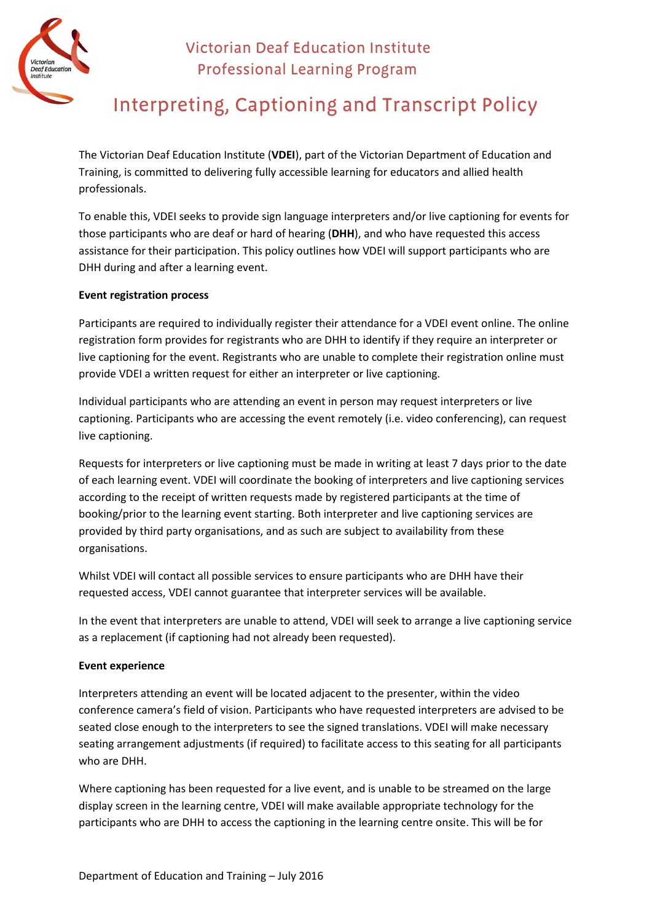

### Victorian Deaf Education Institute Professional Learning Program

## Interpreting, Captioning and Transcript Policy

The Victorian Deaf Education Institute (**VDEI**), part of the Victorian Department of Education and Training, is committed to delivering fully accessible learning for educators and allied health professionals.

To enable this, VDEI seeks to provide sign language interpreters and/or live captioning for events for those participants who are deaf or hard of hearing (**DHH**), and who have requested this access assistance for their participation. This policy outlines how VDEI will support participants who are DHH during and after a learning event.

### **Event registration process**

Participants are required to individually register their attendance for a VDEI event online. The online registration form provides for registrants who are DHH to identify if they require an interpreter or live captioning for the event. Registrants who are unable to complete their registration online must provide VDEI a written request for either an interpreter or live captioning.

Individual participants who are attending an event in person may request interpreters or live captioning. Participants who are accessing the event remotely (i.e. video conferencing), can request live captioning.

Requests for interpreters or live captioning must be made in writing at least 7 days prior to the date of each learning event. VDEI will coordinate the booking of interpreters and live captioning services according to the receipt of written requests made by registered participants at the time of booking/prior to the learning event starting. Both interpreter and live captioning services are provided by third party organisations, and as such are subject to availability from these organisations.

Whilst VDEI will contact all possible services to ensure participants who are DHH have their requested access, VDEI cannot guarantee that interpreter services will be available.

In the event that interpreters are unable to attend, VDEI will seek to arrange a live captioning service as a replacement (if captioning had not already been requested).

### **Event experience**

Interpreters attending an event will be located adjacent to the presenter, within the video conference camera's field of vision. Participants who have requested interpreters are advised to be seated close enough to the interpreters to see the signed translations. VDEI will make necessary seating arrangement adjustments (if required) to facilitate access to this seating for all participants who are DHH.

Where captioning has been requested for a live event, and is unable to be streamed on the large display screen in the learning centre, VDEI will make available appropriate technology for the participants who are DHH to access the captioning in the learning centre onsite. This will be for